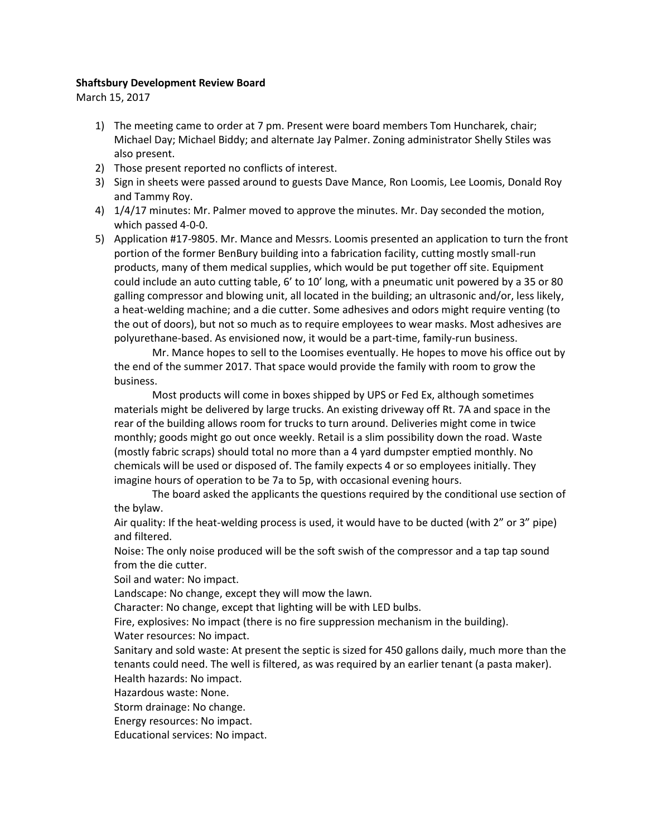## **Shaftsbury Development Review Board**

March 15, 2017

- 1) The meeting came to order at 7 pm. Present were board members Tom Huncharek, chair; Michael Day; Michael Biddy; and alternate Jay Palmer. Zoning administrator Shelly Stiles was also present.
- 2) Those present reported no conflicts of interest.
- 3) Sign in sheets were passed around to guests Dave Mance, Ron Loomis, Lee Loomis, Donald Roy and Tammy Roy.
- 4) 1/4/17 minutes: Mr. Palmer moved to approve the minutes. Mr. Day seconded the motion, which passed 4-0-0.
- 5) Application #17-9805. Mr. Mance and Messrs. Loomis presented an application to turn the front portion of the former BenBury building into a fabrication facility, cutting mostly small-run products, many of them medical supplies, which would be put together off site. Equipment could include an auto cutting table, 6' to 10' long, with a pneumatic unit powered by a 35 or 80 galling compressor and blowing unit, all located in the building; an ultrasonic and/or, less likely, a heat-welding machine; and a die cutter. Some adhesives and odors might require venting (to the out of doors), but not so much as to require employees to wear masks. Most adhesives are polyurethane-based. As envisioned now, it would be a part-time, family-run business.

Mr. Mance hopes to sell to the Loomises eventually. He hopes to move his office out by the end of the summer 2017. That space would provide the family with room to grow the business.

Most products will come in boxes shipped by UPS or Fed Ex, although sometimes materials might be delivered by large trucks. An existing driveway off Rt. 7A and space in the rear of the building allows room for trucks to turn around. Deliveries might come in twice monthly; goods might go out once weekly. Retail is a slim possibility down the road. Waste (mostly fabric scraps) should total no more than a 4 yard dumpster emptied monthly. No chemicals will be used or disposed of. The family expects 4 or so employees initially. They imagine hours of operation to be 7a to 5p, with occasional evening hours.

The board asked the applicants the questions required by the conditional use section of the bylaw.

Air quality: If the heat-welding process is used, it would have to be ducted (with 2" or 3" pipe) and filtered.

Noise: The only noise produced will be the soft swish of the compressor and a tap tap sound from the die cutter.

Soil and water: No impact.

Landscape: No change, except they will mow the lawn.

Character: No change, except that lighting will be with LED bulbs.

Fire, explosives: No impact (there is no fire suppression mechanism in the building). Water resources: No impact.

Sanitary and sold waste: At present the septic is sized for 450 gallons daily, much more than the tenants could need. The well is filtered, as was required by an earlier tenant (a pasta maker). Health hazards: No impact.

Hazardous waste: None.

Storm drainage: No change.

Energy resources: No impact.

Educational services: No impact.